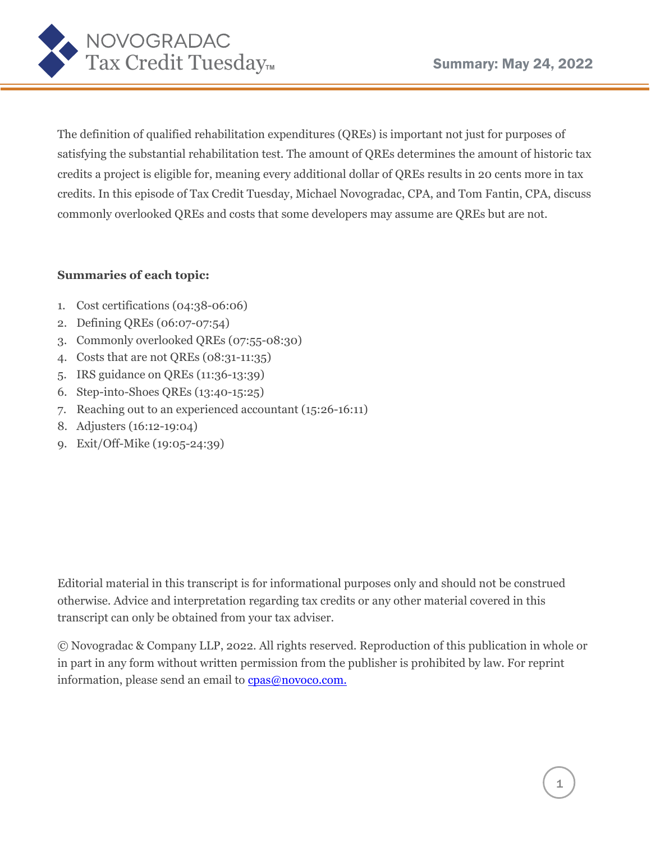

The definition of qualified rehabilitation expenditures (QREs) is important not just for purposes of satisfying the substantial rehabilitation test. The amount of QREs determines the amount of historic tax credits a project is eligible for, meaning every additional dollar of QREs results in 20 cents more in tax credits. In this episode of Tax Credit Tuesday, Michael Novogradac, CPA, and Tom Fantin, CPA, discuss commonly overlooked QREs and costs that some developers may assume are QREs but are not.

## **Summaries of each topic:**

- 1. Cost certifications (04:38-06:06)
- 2. Defining QREs (06:07-07:54)
- 3. Commonly overlooked QREs (07:55-08:30)
- 4. Costs that are not QREs (08:31-11:35)
- 5. IRS guidance on QREs (11:36-13:39)
- 6. Step-into-Shoes QREs (13:40-15:25)
- 7. Reaching out to an experienced accountant (15:26-16:11)
- 8. Adjusters (16:12-19:04)
- 9. Exit/Off-Mike (19:05-24:39)

Editorial material in this transcript is for informational purposes only and should not be construed otherwise. Advice and interpretation regarding tax credits or any other material covered in this transcript can only be obtained from your tax adviser.

© Novogradac & Company LLP, 2022. All rights reserved. Reproduction of this publication in whole or in part in any form without written permission from the publisher is prohibited by law. For reprint information, please send an email to **cpas@novoco.com**.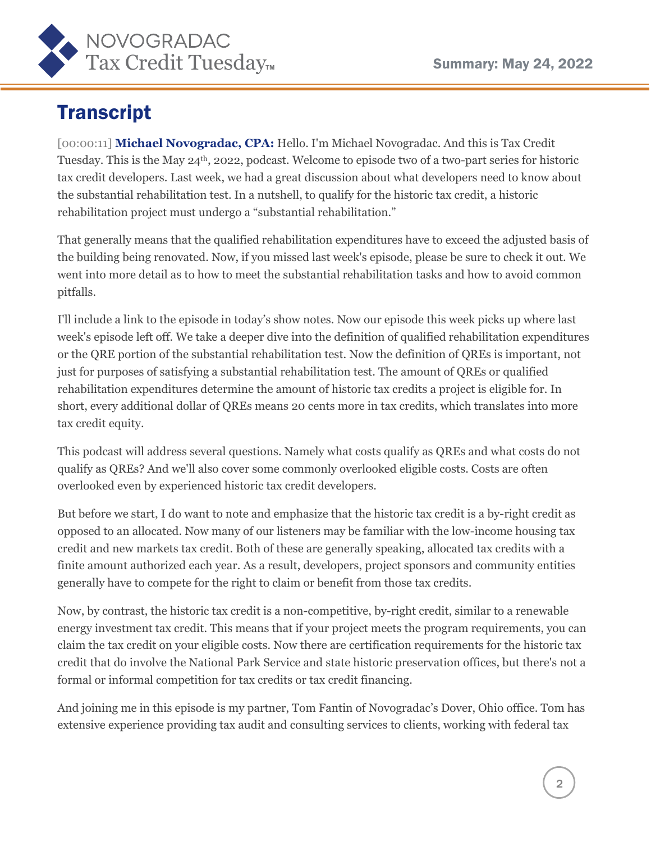

## **Transcript**

[00:00:11] **Michael Novogradac, CPA:** Hello. I'm Michael Novogradac. And this is Tax Credit Tuesday. This is the May 24th, 2022, podcast. Welcome to episode two of a two-part series for historic tax credit developers. Last week, we had a great discussion about what developers need to know about the substantial rehabilitation test. In a nutshell, to qualify for the historic tax credit, a historic rehabilitation project must undergo a "substantial rehabilitation."

That generally means that the qualified rehabilitation expenditures have to exceed the adjusted basis of the building being renovated. Now, if you missed last week's episode, please be sure to check it out. We went into more detail as to how to meet the substantial rehabilitation tasks and how to avoid common pitfalls.

I'll include a link to the episode in today's show notes. Now our episode this week picks up where last week's episode left off. We take a deeper dive into the definition of qualified rehabilitation expenditures or the QRE portion of the substantial rehabilitation test. Now the definition of QREs is important, not just for purposes of satisfying a substantial rehabilitation test. The amount of QREs or qualified rehabilitation expenditures determine the amount of historic tax credits a project is eligible for. In short, every additional dollar of QREs means 20 cents more in tax credits, which translates into more tax credit equity.

This podcast will address several questions. Namely what costs qualify as QREs and what costs do not qualify as QREs? And we'll also cover some commonly overlooked eligible costs. Costs are often overlooked even by experienced historic tax credit developers.

But before we start, I do want to note and emphasize that the historic tax credit is a by-right credit as opposed to an allocated. Now many of our listeners may be familiar with the low-income housing tax credit and new markets tax credit. Both of these are generally speaking, allocated tax credits with a finite amount authorized each year. As a result, developers, project sponsors and community entities generally have to compete for the right to claim or benefit from those tax credits.

Now, by contrast, the historic tax credit is a non-competitive, by-right credit, similar to a renewable energy investment tax credit. This means that if your project meets the program requirements, you can claim the tax credit on your eligible costs. Now there are certification requirements for the historic tax credit that do involve the National Park Service and state historic preservation offices, but there's not a formal or informal competition for tax credits or tax credit financing.

And joining me in this episode is my partner, Tom Fantin of Novogradac's Dover, Ohio office. Tom has extensive experience providing tax audit and consulting services to clients, working with federal tax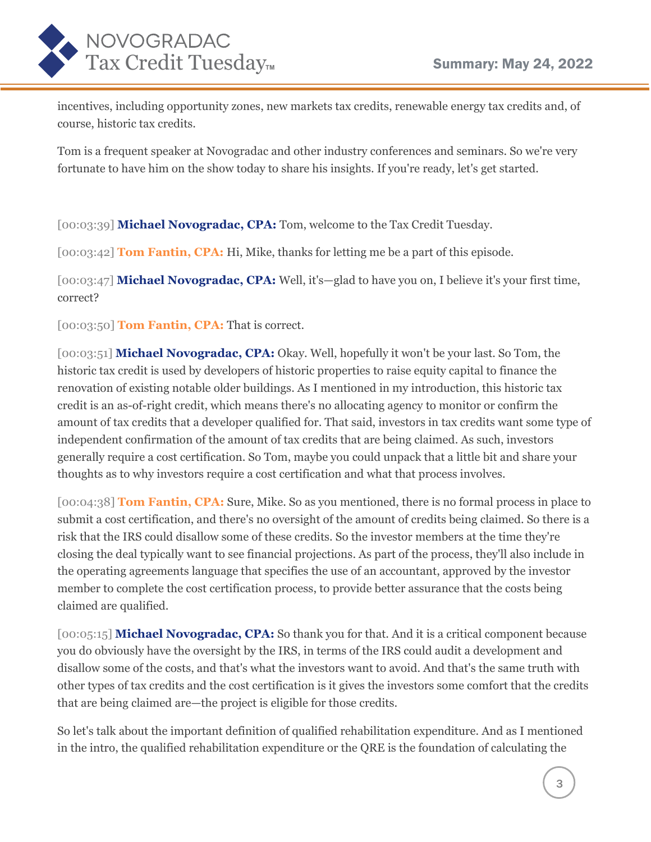

incentives, including opportunity zones, new markets tax credits, renewable energy tax credits and, of course, historic tax credits.

Tom is a frequent speaker at Novogradac and other industry conferences and seminars. So we're very fortunate to have him on the show today to share his insights. If you're ready, let's get started.

[00:03:39] **Michael Novogradac, CPA:** Tom, welcome to the Tax Credit Tuesday.

[00:03:42] **Tom Fantin, CPA:** Hi, Mike, thanks for letting me be a part of this episode.

[00:03:47] **Michael Novogradac, CPA:** Well, it's-glad to have you on, I believe it's your first time, correct?

[00:03:50] **Tom Fantin, CPA:** That is correct.

[00:03:51] **Michael Novogradac, CPA:** Okay. Well, hopefully it won't be your last. So Tom, the historic tax credit is used by developers of historic properties to raise equity capital to finance the renovation of existing notable older buildings. As I mentioned in my introduction, this historic tax credit is an as-of-right credit, which means there's no allocating agency to monitor or confirm the amount of tax credits that a developer qualified for. That said, investors in tax credits want some type of independent confirmation of the amount of tax credits that are being claimed. As such, investors generally require a cost certification. So Tom, maybe you could unpack that a little bit and share your thoughts as to why investors require a cost certification and what that process involves.

[00:04:38] **Tom Fantin, CPA:** Sure, Mike. So as you mentioned, there is no formal process in place to submit a cost certification, and there's no oversight of the amount of credits being claimed. So there is a risk that the IRS could disallow some of these credits. So the investor members at the time they're closing the deal typically want to see financial projections. As part of the process, they'll also include in the operating agreements language that specifies the use of an accountant, approved by the investor member to complete the cost certification process, to provide better assurance that the costs being claimed are qualified.

[00:05:15] **Michael Novogradac, CPA:** So thank you for that. And it is a critical component because you do obviously have the oversight by the IRS, in terms of the IRS could audit a development and disallow some of the costs, and that's what the investors want to avoid. And that's the same truth with other types of tax credits and the cost certification is it gives the investors some comfort that the credits that are being claimed are—the project is eligible for those credits.

So let's talk about the important definition of qualified rehabilitation expenditure. And as I mentioned in the intro, the qualified rehabilitation expenditure or the QRE is the foundation of calculating the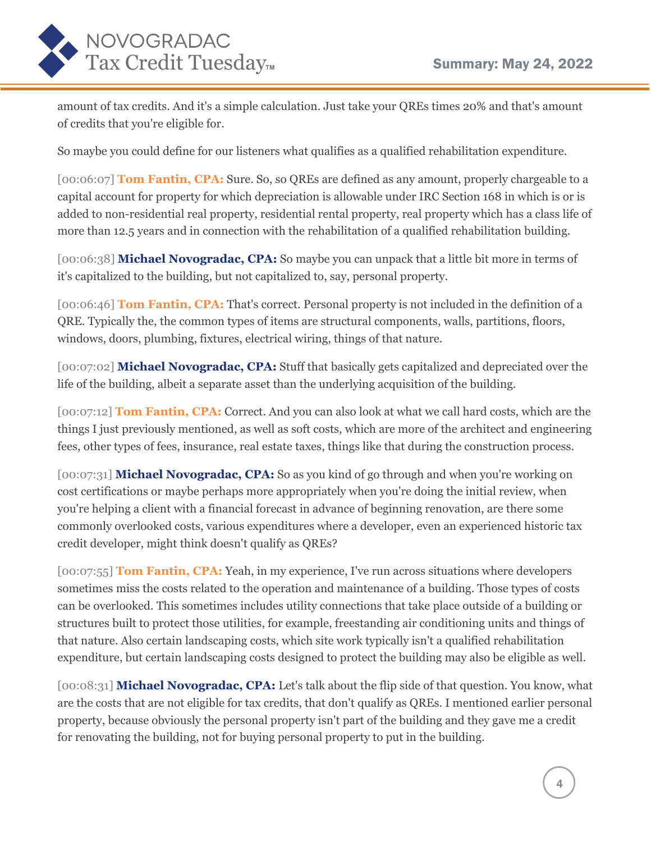

amount of tax credits. And it's a simple calculation. Just take your QREs times 20% and that's amount of credits that you're eligible for.

So maybe you could define for our listeners what qualifies as a qualified rehabilitation expenditure.

[00:06:07] **Tom Fantin, CPA:** Sure. So, so QREs are defined as any amount, properly chargeable to a capital account for property for which depreciation is allowable under IRC Section 168 in which is or is added to non-residential real property, residential rental property, real property which has a class life of more than 12.5 years and in connection with the rehabilitation of a qualified rehabilitation building.

[00:06:38] **Michael Novogradac, CPA:** So maybe you can unpack that a little bit more in terms of it's capitalized to the building, but not capitalized to, say, personal property.

[00:06:46] **Tom Fantin, CPA:** That's correct. Personal property is not included in the definition of a QRE. Typically the, the common types of items are structural components, walls, partitions, floors, windows, doors, plumbing, fixtures, electrical wiring, things of that nature.

[00:07:02] **Michael Novogradac, CPA:** Stuff that basically gets capitalized and depreciated over the life of the building, albeit a separate asset than the underlying acquisition of the building.

[00:07:12] **Tom Fantin, CPA:** Correct. And you can also look at what we call hard costs, which are the things I just previously mentioned, as well as soft costs, which are more of the architect and engineering fees, other types of fees, insurance, real estate taxes, things like that during the construction process.

[00:07:31] **Michael Novogradac, CPA:** So as you kind of go through and when you're working on cost certifications or maybe perhaps more appropriately when you're doing the initial review, when you're helping a client with a financial forecast in advance of beginning renovation, are there some commonly overlooked costs, various expenditures where a developer, even an experienced historic tax credit developer, might think doesn't qualify as QREs?

[00:07:55] **Tom Fantin, CPA:** Yeah, in my experience, I've run across situations where developers sometimes miss the costs related to the operation and maintenance of a building. Those types of costs can be overlooked. This sometimes includes utility connections that take place outside of a building or structures built to protect those utilities, for example, freestanding air conditioning units and things of that nature. Also certain landscaping costs, which site work typically isn't a qualified rehabilitation expenditure, but certain landscaping costs designed to protect the building may also be eligible as well.

[00:08:31] **Michael Novogradac, CPA:** Let's talk about the flip side of that question. You know, what are the costs that are not eligible for tax credits, that don't qualify as QREs. I mentioned earlier personal property, because obviously the personal property isn't part of the building and they gave me a credit for renovating the building, not for buying personal property to put in the building.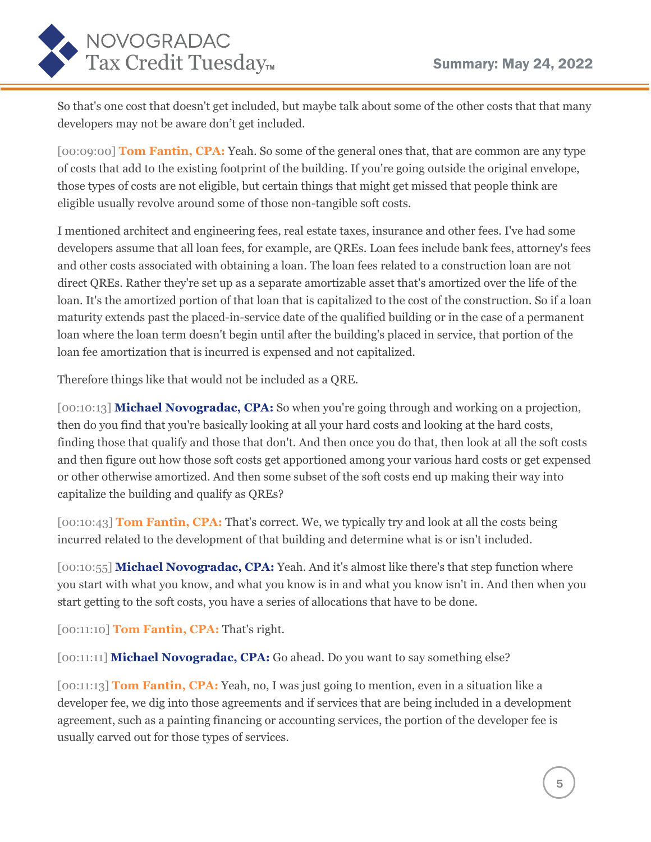

So that's one cost that doesn't get included, but maybe talk about some of the other costs that that many developers may not be aware don't get included.

[00:09:00] **Tom Fantin, CPA:** Yeah. So some of the general ones that, that are common are any type of costs that add to the existing footprint of the building. If you're going outside the original envelope, those types of costs are not eligible, but certain things that might get missed that people think are eligible usually revolve around some of those non-tangible soft costs.

I mentioned architect and engineering fees, real estate taxes, insurance and other fees. I've had some developers assume that all loan fees, for example, are QREs. Loan fees include bank fees, attorney's fees and other costs associated with obtaining a loan. The loan fees related to a construction loan are not direct QREs. Rather they're set up as a separate amortizable asset that's amortized over the life of the loan. It's the amortized portion of that loan that is capitalized to the cost of the construction. So if a loan maturity extends past the placed-in-service date of the qualified building or in the case of a permanent loan where the loan term doesn't begin until after the building's placed in service, that portion of the loan fee amortization that is incurred is expensed and not capitalized.

Therefore things like that would not be included as a QRE.

[00:10:13] **Michael Novogradac, CPA:** So when you're going through and working on a projection, then do you find that you're basically looking at all your hard costs and looking at the hard costs, finding those that qualify and those that don't. And then once you do that, then look at all the soft costs and then figure out how those soft costs get apportioned among your various hard costs or get expensed or other otherwise amortized. And then some subset of the soft costs end up making their way into capitalize the building and qualify as QREs?

[00:10:43] **Tom Fantin, CPA:** That's correct. We, we typically try and look at all the costs being incurred related to the development of that building and determine what is or isn't included.

[00:10:55] **Michael Novogradac, CPA:** Yeah. And it's almost like there's that step function where you start with what you know, and what you know is in and what you know isn't in. And then when you start getting to the soft costs, you have a series of allocations that have to be done.

[00:11:10] **Tom Fantin, CPA:** That's right.

[00:11:11] **Michael Novogradac, CPA:** Go ahead. Do you want to say something else?

[00:11:13] **Tom Fantin, CPA:** Yeah, no, I was just going to mention, even in a situation like a developer fee, we dig into those agreements and if services that are being included in a development agreement, such as a painting financing or accounting services, the portion of the developer fee is usually carved out for those types of services.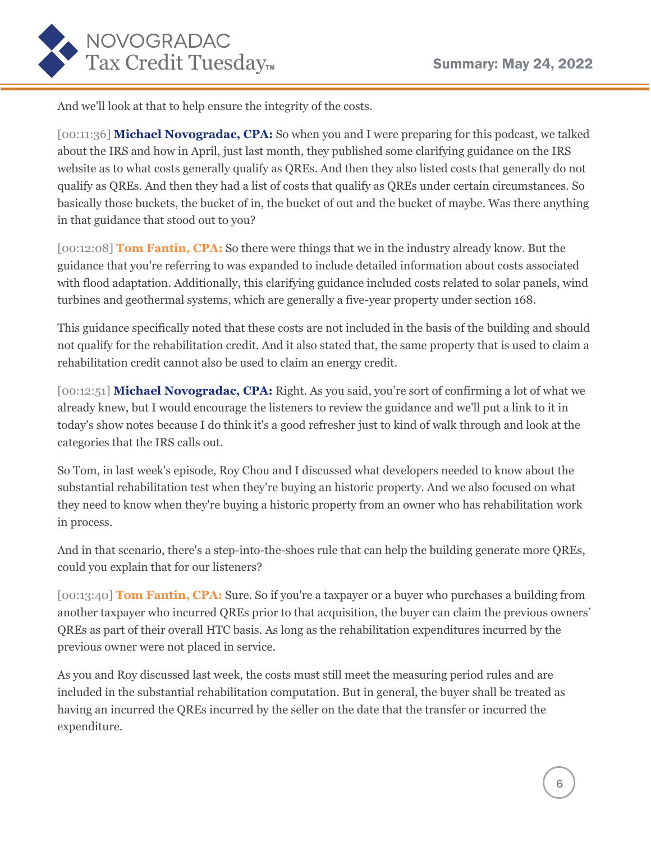

And we'll look at that to help ensure the integrity of the costs.

[00:11:36] **Michael Novogradac, CPA:** So when you and I were preparing for this podcast, we talked about the IRS and how in April, just last month, they published some clarifying guidance on the IRS website as to what costs generally qualify as QREs. And then they also listed costs that generally do not qualify as QREs. And then they had a list of costs that qualify as QREs under certain circumstances. So basically those buckets, the bucket of in, the bucket of out and the bucket of maybe. Was there anything in that guidance that stood out to you?

[00:12:08] **Tom Fantin, CPA:** So there were things that we in the industry already know. But the guidance that you're referring to was expanded to include detailed information about costs associated with flood adaptation. Additionally, this clarifying guidance included costs related to solar panels, wind turbines and geothermal systems, which are generally a five-year property under section 168.

This guidance specifically noted that these costs are not included in the basis of the building and should not qualify for the rehabilitation credit. And it also stated that, the same property that is used to claim a rehabilitation credit cannot also be used to claim an energy credit.

[00:12:51] **Michael Novogradac, CPA:** Right. As you said, you're sort of confirming a lot of what we already knew, but I would encourage the listeners to review the guidance and we'll put a link to it in today's show notes because I do think it's a good refresher just to kind of walk through and look at the categories that the IRS calls out.

So Tom, in last week's episode, Roy Chou and I discussed what developers needed to know about the substantial rehabilitation test when they're buying an historic property. And we also focused on what they need to know when they're buying a historic property from an owner who has rehabilitation work in process.

And in that scenario, there's a step-into-the-shoes rule that can help the building generate more QREs, could you explain that for our listeners?

[00:13:40] **Tom Fantin, CPA:** Sure. So if you're a taxpayer or a buyer who purchases a building from another taxpayer who incurred QREs prior to that acquisition, the buyer can claim the previous owners' QREs as part of their overall HTC basis. As long as the rehabilitation expenditures incurred by the previous owner were not placed in service.

As you and Roy discussed last week, the costs must still meet the measuring period rules and are included in the substantial rehabilitation computation. But in general, the buyer shall be treated as having an incurred the QREs incurred by the seller on the date that the transfer or incurred the expenditure.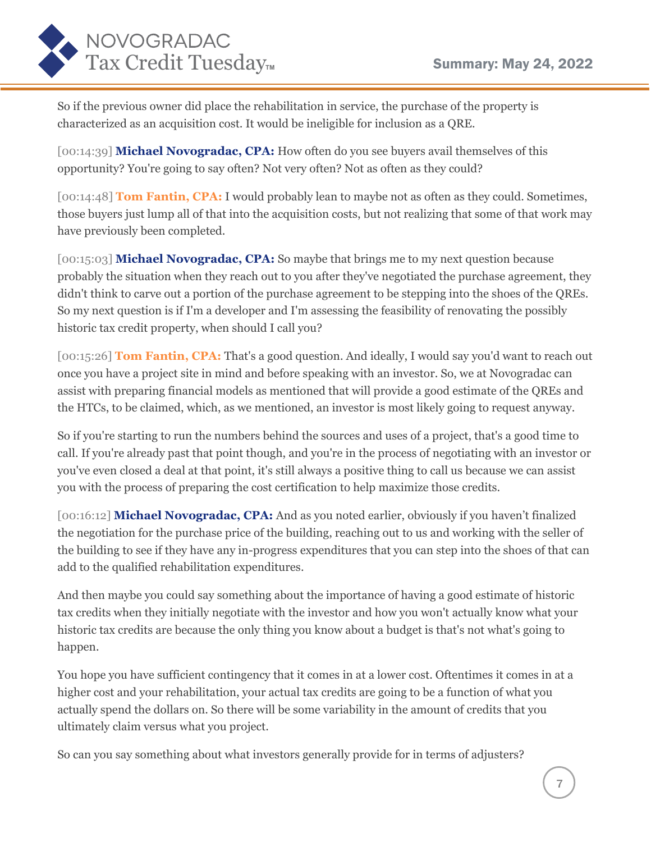

So if the previous owner did place the rehabilitation in service, the purchase of the property is characterized as an acquisition cost. It would be ineligible for inclusion as a QRE.

[00:14:39] **Michael Novogradac, CPA:** How often do you see buyers avail themselves of this opportunity? You're going to say often? Not very often? Not as often as they could?

[00:14:48] **Tom Fantin, CPA:** I would probably lean to maybe not as often as they could. Sometimes, those buyers just lump all of that into the acquisition costs, but not realizing that some of that work may have previously been completed.

[00:15:03] **Michael Novogradac, CPA:** So maybe that brings me to my next question because probably the situation when they reach out to you after they've negotiated the purchase agreement, they didn't think to carve out a portion of the purchase agreement to be stepping into the shoes of the QREs. So my next question is if I'm a developer and I'm assessing the feasibility of renovating the possibly historic tax credit property, when should I call you?

[00:15:26] **Tom Fantin, CPA:** That's a good question. And ideally, I would say you'd want to reach out once you have a project site in mind and before speaking with an investor. So, we at Novogradac can assist with preparing financial models as mentioned that will provide a good estimate of the QREs and the HTCs, to be claimed, which, as we mentioned, an investor is most likely going to request anyway.

So if you're starting to run the numbers behind the sources and uses of a project, that's a good time to call. If you're already past that point though, and you're in the process of negotiating with an investor or you've even closed a deal at that point, it's still always a positive thing to call us because we can assist you with the process of preparing the cost certification to help maximize those credits.

[00:16:12] **Michael Novogradac, CPA:** And as you noted earlier, obviously if you haven't finalized the negotiation for the purchase price of the building, reaching out to us and working with the seller of the building to see if they have any in-progress expenditures that you can step into the shoes of that can add to the qualified rehabilitation expenditures.

And then maybe you could say something about the importance of having a good estimate of historic tax credits when they initially negotiate with the investor and how you won't actually know what your historic tax credits are because the only thing you know about a budget is that's not what's going to happen.

You hope you have sufficient contingency that it comes in at a lower cost. Oftentimes it comes in at a higher cost and your rehabilitation, your actual tax credits are going to be a function of what you actually spend the dollars on. So there will be some variability in the amount of credits that you ultimately claim versus what you project.

So can you say something about what investors generally provide for in terms of adjusters?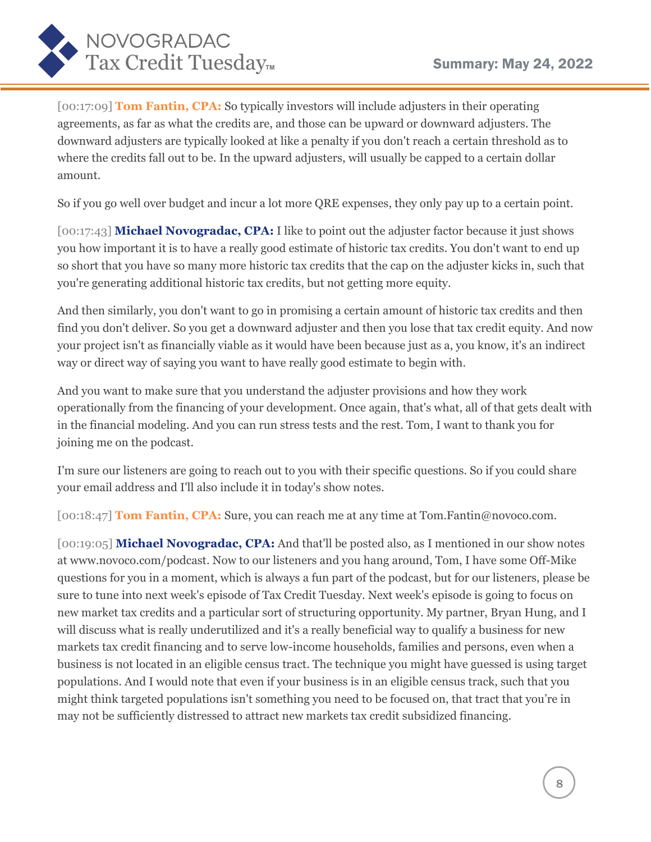

[00:17:09] **Tom Fantin, CPA:** So typically investors will include adjusters in their operating agreements, as far as what the credits are, and those can be upward or downward adjusters. The downward adjusters are typically looked at like a penalty if you don't reach a certain threshold as to where the credits fall out to be. In the upward adjusters, will usually be capped to a certain dollar amount.

So if you go well over budget and incur a lot more QRE expenses, they only pay up to a certain point.

[00:17:43] **Michael Novogradac, CPA:** I like to point out the adjuster factor because it just shows you how important it is to have a really good estimate of historic tax credits. You don't want to end up so short that you have so many more historic tax credits that the cap on the adjuster kicks in, such that you're generating additional historic tax credits, but not getting more equity.

And then similarly, you don't want to go in promising a certain amount of historic tax credits and then find you don't deliver. So you get a downward adjuster and then you lose that tax credit equity. And now your project isn't as financially viable as it would have been because just as a, you know, it's an indirect way or direct way of saying you want to have really good estimate to begin with.

And you want to make sure that you understand the adjuster provisions and how they work operationally from the financing of your development. Once again, that's what, all of that gets dealt with in the financial modeling. And you can run stress tests and the rest. Tom, I want to thank you for joining me on the podcast.

I'm sure our listeners are going to reach out to you with their specific questions. So if you could share your email address and I'll also include it in today's show notes.

[00:18:47] **Tom Fantin, CPA:** Sure, you can reach me at any time at Tom.Fantin@novoco.com.

[00:19:05] **Michael Novogradac, CPA:** And that'll be posted also, as I mentioned in our show notes at www.novoco.com/podcast. Now to our listeners and you hang around, Tom, I have some Off-Mike questions for you in a moment, which is always a fun part of the podcast, but for our listeners, please be sure to tune into next week's episode of Tax Credit Tuesday. Next week's episode is going to focus on new market tax credits and a particular sort of structuring opportunity. My partner, Bryan Hung, and I will discuss what is really underutilized and it's a really beneficial way to qualify a business for new markets tax credit financing and to serve low-income households, families and persons, even when a business is not located in an eligible census tract. The technique you might have guessed is using target populations. And I would note that even if your business is in an eligible census track, such that you might think targeted populations isn't something you need to be focused on, that tract that you're in may not be sufficiently distressed to attract new markets tax credit subsidized financing.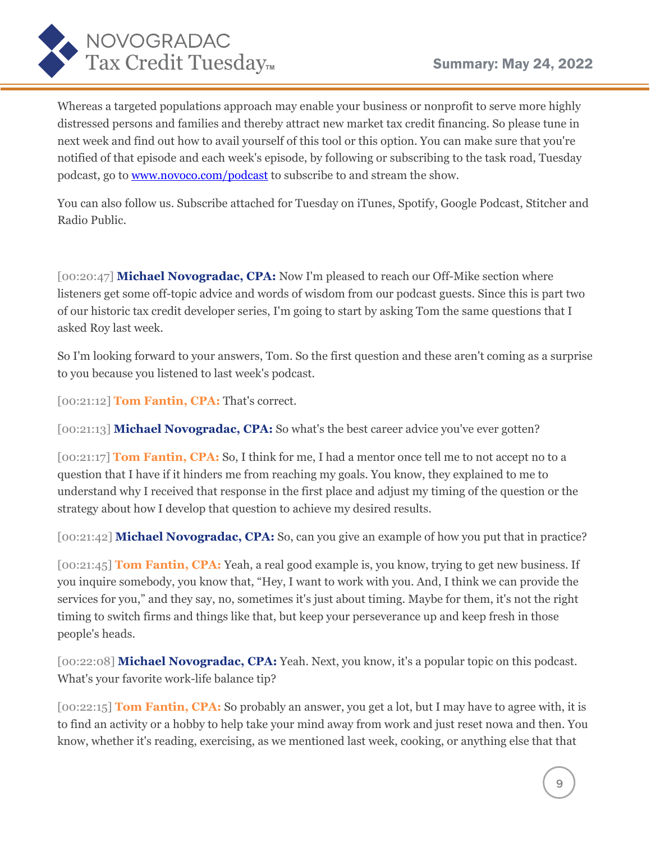

Whereas a targeted populations approach may enable your business or nonprofit to serve more highly distressed persons and families and thereby attract new market tax credit financing. So please tune in next week and find out how to avail yourself of this tool or this option. You can make sure that you're notified of that episode and each week's episode, by following or subscribing to the task road, Tuesday podcast, go to **www.novoco.com/podcast** to subscribe to and stream the show.

You can also follow us. Subscribe attached for Tuesday on iTunes, Spotify, Google Podcast, Stitcher and Radio Public.

[00:20:47] **Michael Novogradac, CPA:** Now I'm pleased to reach our Off-Mike section where listeners get some off-topic advice and words of wisdom from our podcast guests. Since this is part two of our historic tax credit developer series, I'm going to start by asking Tom the same questions that I asked Roy last week.

So I'm looking forward to your answers, Tom. So the first question and these aren't coming as a surprise to you because you listened to last week's podcast.

[00:21:12] **Tom Fantin, CPA:** That's correct.

[00:21:13] **Michael Novogradac, CPA:** So what's the best career advice you've ever gotten?

[00:21:17] **Tom Fantin, CPA:** So, I think for me, I had a mentor once tell me to not accept no to a question that I have if it hinders me from reaching my goals. You know, they explained to me to understand why I received that response in the first place and adjust my timing of the question or the strategy about how I develop that question to achieve my desired results.

[00:21:42] **Michael Novogradac, CPA:** So, can you give an example of how you put that in practice?

[00:21:45] **Tom Fantin, CPA:** Yeah, a real good example is, you know, trying to get new business. If you inquire somebody, you know that, "Hey, I want to work with you. And, I think we can provide the services for you," and they say, no, sometimes it's just about timing. Maybe for them, it's not the right timing to switch firms and things like that, but keep your perseverance up and keep fresh in those people's heads.

[00:22:08] **Michael Novogradac, CPA:** Yeah. Next, you know, it's a popular topic on this podcast. What's your favorite work-life balance tip?

[00:22:15] **Tom Fantin, CPA:** So probably an answer, you get a lot, but I may have to agree with, it is to find an activity or a hobby to help take your mind away from work and just reset nowa and then. You know, whether it's reading, exercising, as we mentioned last week, cooking, or anything else that that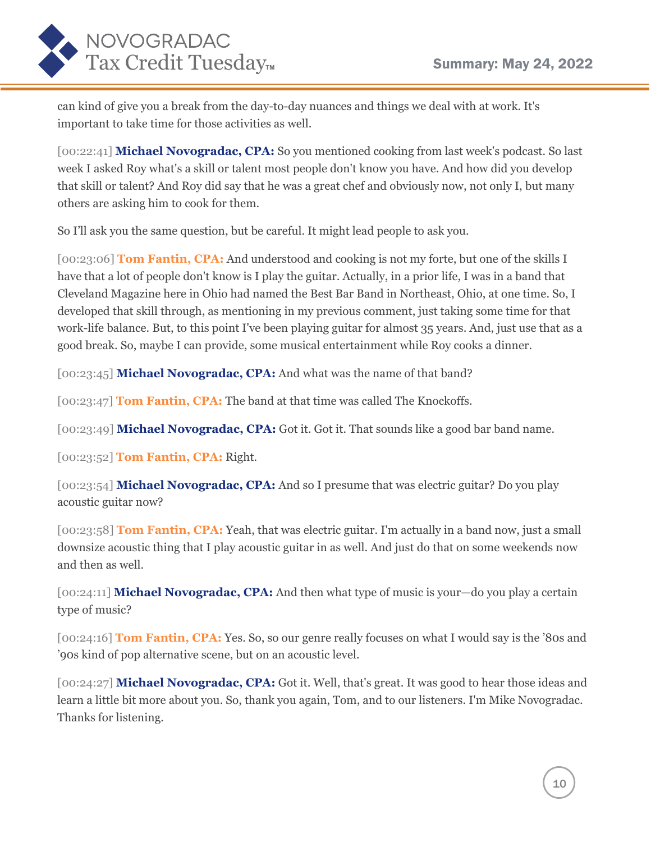

can kind of give you a break from the day-to-day nuances and things we deal with at work. It's important to take time for those activities as well.

[00:22:41] **Michael Novogradac, CPA:** So you mentioned cooking from last week's podcast. So last week I asked Roy what's a skill or talent most people don't know you have. And how did you develop that skill or talent? And Roy did say that he was a great chef and obviously now, not only I, but many others are asking him to cook for them.

So I'll ask you the same question, but be careful. It might lead people to ask you.

[00:23:06] **Tom Fantin, CPA:** And understood and cooking is not my forte, but one of the skills I have that a lot of people don't know is I play the guitar. Actually, in a prior life, I was in a band that Cleveland Magazine here in Ohio had named the Best Bar Band in Northeast, Ohio, at one time. So, I developed that skill through, as mentioning in my previous comment, just taking some time for that work-life balance. But, to this point I've been playing guitar for almost 35 years. And, just use that as a good break. So, maybe I can provide, some musical entertainment while Roy cooks a dinner.

[00:23:45] **Michael Novogradac, CPA:** And what was the name of that band?

[00:23:47] **Tom Fantin, CPA:** The band at that time was called The Knockoffs.

[00:23:49] **Michael Novogradac, CPA:** Got it. Got it. That sounds like a good bar band name.

[00:23:52] **Tom Fantin, CPA:** Right.

[00:23:54] **Michael Novogradac, CPA:** And so I presume that was electric guitar? Do you play acoustic guitar now?

[00:23:58] **Tom Fantin, CPA:** Yeah, that was electric guitar. I'm actually in a band now, just a small downsize acoustic thing that I play acoustic guitar in as well. And just do that on some weekends now and then as well.

[00:24:11] **Michael Novogradac, CPA:** And then what type of music is your—do you play a certain type of music?

[00:24:16] **Tom Fantin, CPA:** Yes. So, so our genre really focuses on what I would say is the '80s and '90s kind of pop alternative scene, but on an acoustic level.

[00:24:27] **Michael Novogradac, CPA:** Got it. Well, that's great. It was good to hear those ideas and learn a little bit more about you. So, thank you again, Tom, and to our listeners. I'm Mike Novogradac. Thanks for listening.